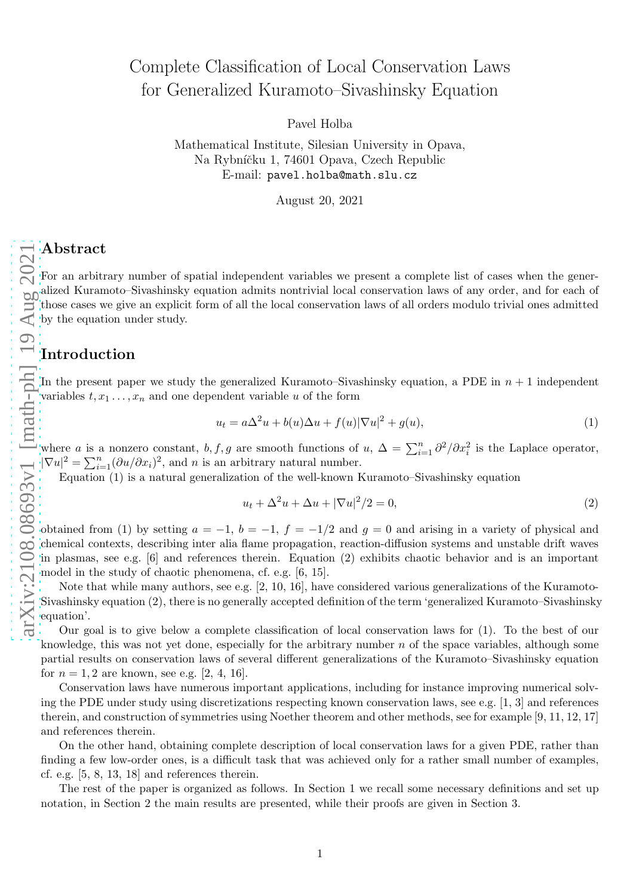# Complete Classification of Local Conservation Laws for Generalized Kuramoto–Sivashinsky Equation

Pavel Holba

Mathematical Institute, Silesian University in Opava, Na Rybníčku 1, 74601 Opava, Czech Republic E-mail: pavel.holba@math.slu.cz

August 20, 2021

# Abstract

For an arbitrary number of spatial independent variables we present a complete list of cases when the generalized Kuramoto–Sivashinsky equation admits nontrivial local conservation laws of any order, and for each of those cases we give an explicit form of all the local conservation laws of all orders modulo trivial ones admitted by the equation under study.

# Introduction

In the present paper we study the generalized Kuramoto–Sivashinsky equation, a PDE in  $n + 1$  independent variables  $t, x_1, \ldots, x_n$  and one dependent variable u of the form

<span id="page-0-0"></span>
$$
u_t = a\Delta^2 u + b(u)\Delta u + f(u)|\nabla u|^2 + g(u),\tag{1}
$$

where a is a nonzero constant, b, f, g are smooth functions of u,  $\Delta = \sum_{i=1}^{n} \frac{\partial^2}{\partial x_i^2}$  is the Laplace operator,  $|\nabla u|^2 = \sum_{i=1}^n (\partial u/\partial x_i)^2$ , and *n* is an arbitrary natural number.

Equation [\(1\)](#page-0-0) is a natural generalization of the well-known Kuramoto–Sivashinsky equation

<span id="page-0-1"></span>
$$
u_t + \Delta^2 u + \Delta u + |\nabla u|^2 / 2 = 0,
$$
\n(2)

obtained from [\(1\)](#page-0-0) by setting  $a = -1$ ,  $b = -1$ ,  $f = -1/2$  and  $g = 0$  and arising in a variety of physical and chemical contexts, describing inter alia flame propagation, reaction-diffusion systems and unstable drift waves in plasmas, see e.g. [\[6\]](#page-5-0) and references therein. Equation [\(2\)](#page-0-1) exhibits chaotic behavior and is an important model in the study of chaotic phenomena, cf. e.g. [\[6,](#page-5-0) [15\]](#page-5-1).

Note that while many authors, see e.g. [\[2,](#page-5-2) [10,](#page-5-3) [16\]](#page-5-4), have considered various generalizations of the Kuramoto-Sivashinsky equation [\(2\),](#page-0-1) there is no generally accepted definition of the term 'generalized Kuramoto–Sivashinsky equation'.

Our goal is to give below a complete classification of local conservation laws for [\(1\).](#page-0-0) To the best of our knowledge, this was not yet done, especially for the arbitrary number  $n$  of the space variables, although some partial results on conservation laws of several different generalizations of the Kuramoto–Sivashinsky equation for  $n = 1, 2$  are known, see e.g. [\[2,](#page-5-2) [4,](#page-5-5) [16\]](#page-5-4).

Conservation laws have numerous important applications, including for instance improving numerical solving the PDE under study using discretizations respecting known conservation laws, see e.g. [\[1,](#page-5-6) [3\]](#page-5-7) and references therein, and construction of symmetries using Noether theorem and other methods, see for example [\[9,](#page-5-8) [11,](#page-5-9) [12,](#page-5-10) [17\]](#page-5-11) and references therein.

On the other hand, obtaining complete description of local conservation laws for a given PDE, rather than finding a few low-order ones, is a difficult task that was achieved only for a rather small number of examples, cf. e.g. [\[5,](#page-5-12) [8,](#page-5-13) [13,](#page-5-14) [18\]](#page-5-15) and references therein.

The rest of the paper is organized as follows. In Section [1](#page-1-0) we recall some necessary definitions and set up notation, in Section [2](#page-1-1) the main results are presented, while their proofs are given in Section [3.](#page-3-0)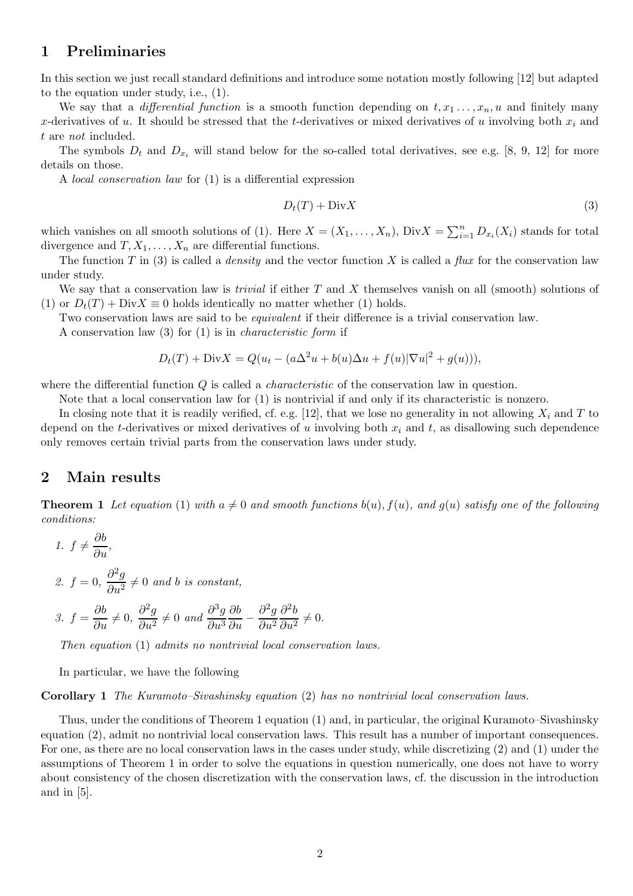#### <span id="page-1-0"></span>1 Preliminaries

In this section we just recall standard definitions and introduce some notation mostly following [\[12\]](#page-5-10) but adapted to the equation under study, i.e., [\(1\).](#page-0-0)

We say that a *differential function* is a smooth function depending on  $t, x_1, \ldots, x_n, u$  and finitely many x-derivatives of u. It should be stressed that the t-derivatives or mixed derivatives of u involving both  $x_i$  and t are not included.

The symbols  $D_t$  and  $D_{x_i}$  will stand below for the so-called total derivatives, see e.g. [\[8,](#page-5-13) [9,](#page-5-8) [12\]](#page-5-10) for more details on those.

A local conservation law for [\(1\)](#page-0-0) is a differential expression

<span id="page-1-2"></span>
$$
D_t(T) + \text{Div}X \tag{3}
$$

which vanishes on all smooth solutions of [\(1\).](#page-0-0) Here  $X = (X_1, \ldots, X_n)$ ,  $Div X = \sum_{i=1}^n D_{x_i}(X_i)$  stands for total divergence and  $T, X_1, \ldots, X_n$  are differential functions.

The function T in [\(3\)](#page-1-2) is called a *density* and the vector function X is called a *flux* for the conservation law under study.

We say that a conservation law is *trivial* if either  $T$  and  $X$  themselves vanish on all (smooth) solutions of [\(1\)](#page-0-0) or  $D_t(T) + Div X \equiv 0$  holds identically no matter whether [\(1\)](#page-0-0) holds.

Two conservation laws are said to be *equivalent* if their difference is a trivial conservation law.

A conservation law [\(3\)](#page-1-2) for [\(1\)](#page-0-0) is in characteristic form if

$$
D_t(T) + \text{Div}X = Q(u_t - (a\Delta^2 u + b(u)\Delta u + f(u)|\nabla u|^2 + g(u))),
$$

where the differential function Q is called a *characteristic* of the conservation law in question.

Note that a local conservation law for [\(1\)](#page-0-0) is nontrivial if and only if its characteristic is nonzero.

In closing note that it is readily verified, cf. e.g. [\[12\]](#page-5-10), that we lose no generality in not allowing  $X_i$  and T to depend on the t-derivatives or mixed derivatives of u involving both  $x_i$  and t, as disallowing such dependence only removes certain trivial parts from the conservation laws under study.

#### <span id="page-1-3"></span><span id="page-1-1"></span>2 Main results

**Theorem 1** Let equation [\(1\)](#page-0-0) with  $a \neq 0$  and smooth functions  $b(u)$ ,  $f(u)$ , and  $g(u)$  satisfy one of the following conditions:

1. 
$$
f \neq \frac{\partial b}{\partial u}
$$
,  
\n2.  $f = 0$ ,  $\frac{\partial^2 g}{\partial u^2} \neq 0$  and *b* is constant,  
\n3.  $f = \frac{\partial b}{\partial u} \neq 0$ ,  $\frac{\partial^2 g}{\partial u^2} \neq 0$  and  $\frac{\partial^3 g}{\partial u^3} \frac{\partial b}{\partial u} - \frac{\partial^2 g}{\partial u^2} \frac{\partial^2 b}{\partial u^2} \neq 0$ .

Then equation [\(1\)](#page-0-0) admits no nontrivial local conservation laws.

In particular, we have the following

Corollary 1 The Kuramoto–Sivashinsky equation [\(2\)](#page-0-1) has no nontrivial local conservation laws.

Thus, under the conditions of Theorem [1](#page-1-3) equation [\(1\)](#page-0-0) and, in particular, the original Kuramoto–Sivashinsky equation [\(2\),](#page-0-1) admit no nontrivial local conservation laws. This result has a number of important consequences. For one, as there are no local conservation laws in the cases under study, while discretizing [\(2\)](#page-0-1) and [\(1\)](#page-0-0) under the assumptions of Theorem [1](#page-1-3) in order to solve the equations in question numerically, one does not have to worry about consistency of the chosen discretization with the conservation laws, cf. the discussion in the introduction and in [\[5\]](#page-5-12).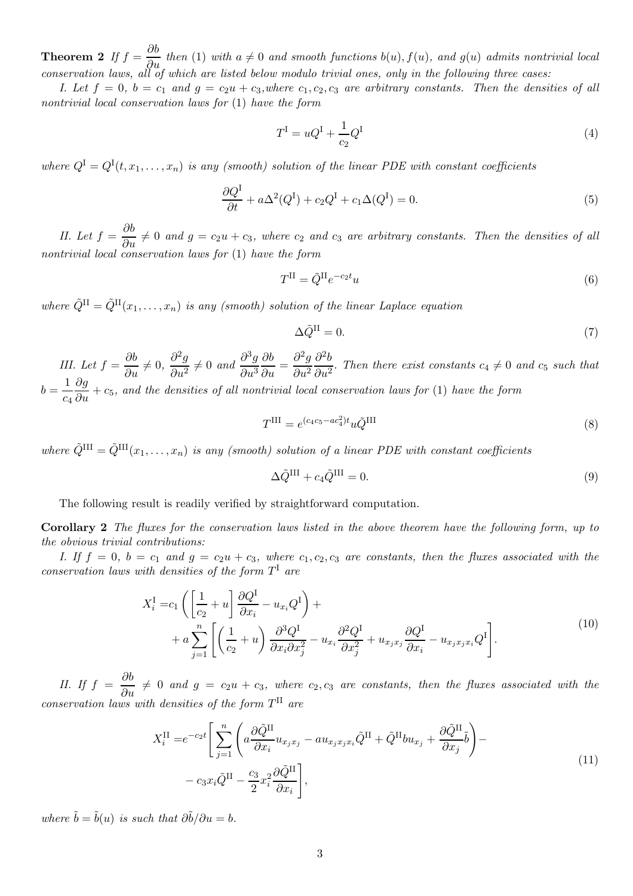<span id="page-2-0"></span>**Theorem 2** If  $f = \frac{\partial b}{\partial u}$  then [\(1\)](#page-0-0) with  $a \neq 0$  and smooth functions  $b(u)$ ,  $f(u)$ , and  $g(u)$  admits nontrivial local conservation laws, all of which are listed below modulo trivial ones, only in the following three cases:

I. Let  $f = 0$ ,  $b = c_1$  and  $g = c_2u + c_3$ , where  $c_1, c_2, c_3$  are arbitrary constants. Then the densities of all nontrivial local conservation laws for [\(1\)](#page-0-0) have the form

$$
T^{\mathcal{I}} = uQ^{\mathcal{I}} + \frac{1}{c_2}Q^{\mathcal{I}}
$$
\n
$$
\tag{4}
$$

where  $Q^I = Q^I(t, x_1, \ldots, x_n)$  is any (smooth) solution of the linear PDE with constant coefficients

<span id="page-2-3"></span>
$$
\frac{\partial Q^{\mathrm{I}}}{\partial t} + a\Delta^2(Q^{\mathrm{I}}) + c_2 Q^{\mathrm{I}} + c_1 \Delta(Q^{\mathrm{I}}) = 0. \tag{5}
$$

II. Let  $f = \frac{\partial b}{\partial u} \neq 0$  and  $g = c_2u + c_3$ , where  $c_2$  and  $c_3$  are arbitrary constants. Then the densities of all nontrivial local conservation laws for [\(1\)](#page-0-0) have the form

$$
T^{\rm II} = \tilde{Q}^{\rm II} e^{-c_2 t} u \tag{6}
$$

where  $\tilde{Q}^{II} = \tilde{Q}^{II}(x_1, \ldots, x_n)$  is any (smooth) solution of the linear Laplace equation

<span id="page-2-1"></span>
$$
\Delta \tilde{Q}^{\rm II} = 0. \tag{7}
$$

III. Let  $f = \frac{\partial b}{\partial u} \neq 0$ ,  $\frac{\partial^2 g}{\partial u^2}$  $rac{\partial^2 g}{\partial u^2} \neq 0$  and  $\frac{\partial^3 g}{\partial u^3}$  $\partial u^3$  $rac{\partial b}{\partial u} = \frac{\partial^2 g}{\partial u^2}$  $\partial u^2$  $\partial^2 b$  $\frac{\partial^2 u}{\partial u^2}$ . Then there exist constants  $c_4 \neq 0$  and  $c_5$  such that  $b=\frac{1}{b}$  $c_4$  $\frac{\partial g}{\partial u} + c_5$ , and the densities of all nontrivial local conservation laws for [\(1\)](#page-0-0) have the form

$$
T^{\rm III} = e^{(c_4c_5 - ac_4^2)t} u \tilde{Q}^{\rm III}
$$
\n
$$
\tag{8}
$$

where  $\tilde{Q}^{III} = \tilde{Q}^{III}(x_1, \ldots, x_n)$  is any (smooth) solution of a linear PDE with constant coefficients

<span id="page-2-2"></span>
$$
\Delta \tilde{Q}^{\text{III}} + c_4 \tilde{Q}^{\text{III}} = 0. \tag{9}
$$

The following result is readily verified by straightforward computation.

Corollary 2 The fluxes for the conservation laws listed in the above theorem have the following form, up to the obvious trivial contributions:

I. If  $f = 0$ ,  $b = c_1$  and  $g = c_2u + c_3$ , where  $c_1, c_2, c_3$  are constants, then the fluxes associated with the conservation laws with densities of the form  $T^{\mathrm{I}}$  are

$$
X_i^{\text{I}} = c_1 \left( \left[ \frac{1}{c_2} + u \right] \frac{\partial Q^{\text{I}}}{\partial x_i} - u_{x_i} Q^{\text{I}} \right) + + a \sum_{j=1}^n \left[ \left( \frac{1}{c_2} + u \right) \frac{\partial^3 Q^{\text{I}}}{\partial x_i \partial x_j^2} - u_{x_i} \frac{\partial^2 Q^{\text{I}}}{\partial x_j^2} + u_{x_j x_j} \frac{\partial Q^{\text{I}}}{\partial x_i} - u_{x_j x_j x_i} Q^{\text{I}} \right].
$$
\n(10)

II. If  $f = \frac{\partial b}{\partial u} \neq 0$  and  $g = c_2u + c_3$ , where  $c_2, c_3$  are constants, then the fluxes associated with the conservation laws with densities of the form  $T<sup>II</sup>$  are

$$
X_i^{\text{II}} = e^{-c_2 t} \left[ \sum_{j=1}^n \left( a \frac{\partial \tilde{Q}^{\text{II}}}{\partial x_i} u_{x_j x_j} - a u_{x_j x_j x_i} \tilde{Q}^{\text{II}} + \tilde{Q}^{\text{II}} b u_{x_j} + \frac{\partial \tilde{Q}^{\text{II}}}{\partial x_j} \tilde{b} \right) - c_3 x_i \tilde{Q}^{\text{II}} - \frac{c_3}{2} x_i^2 \frac{\partial \tilde{Q}^{\text{II}}}{\partial x_i} \right],
$$
\n(11)

where  $\tilde{b} = \tilde{b}(u)$  is such that  $\partial \tilde{b}/\partial u = b$ .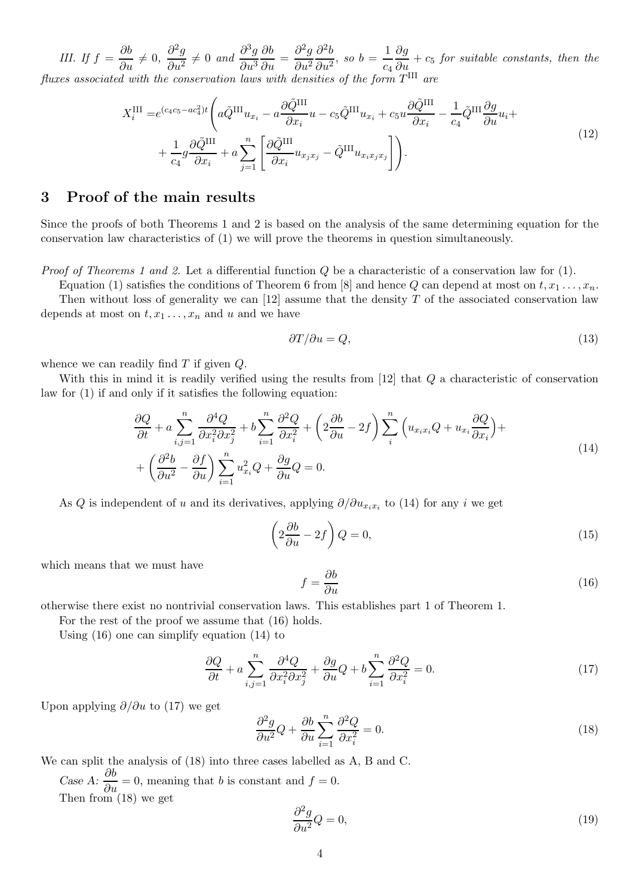*III. If*  $f = \frac{\partial b}{\partial u} \neq 0$ ,  $\frac{\partial^2 g}{\partial u^2}$  $\frac{\partial^2 g}{\partial u^2} \neq 0$  and  $\frac{\partial^3 g}{\partial u^3}$  $\partial u^3$  $\frac{\partial b}{\partial u} = \frac{\partial^2 g}{\partial u^2}$  $\partial u^2$  $\partial^2 b$  $rac{\partial^2 b}{\partial u^2}$ , so  $b = \frac{1}{c_4}$  $\overline{c_4}$  $\frac{\partial g}{\partial u} + c_5$  for suitable constants, then the fluxes associated with the conservation laws with densities of the form  $T^{\text{III}}$  are

$$
X_i^{\text{III}} = e^{(c_4c_5 - ac_4^2)t} \left( a\tilde{Q}^{\text{III}} u_{x_i} - a\frac{\partial \tilde{Q}^{\text{III}}}{\partial x_i} u - c_5 \tilde{Q}^{\text{III}} u_{x_i} + c_5 u \frac{\partial \tilde{Q}^{\text{III}}}{\partial x_i} - \frac{1}{c_4} \tilde{Q}^{\text{III}} \frac{\partial g}{\partial u} u_i + \frac{1}{c_4} g \frac{\partial \tilde{Q}^{\text{III}}}{\partial x_i} + a \sum_{j=1}^n \left[ \frac{\partial \tilde{Q}^{\text{III}}}{\partial x_i} u_{x_j x_j} - \tilde{Q}^{\text{III}} u_{x_i x_j x_j} \right] \right). \tag{12}
$$

## <span id="page-3-0"></span>3 Proof of the main results

Since the proofs of both Theorems [1](#page-1-3) and [2](#page-2-0) is based on the analysis of the same determining equation for the conservation law characteristics of [\(1\)](#page-0-0) we will prove the theorems in question simultaneously.

*Proof of Theorems [1](#page-1-3) and [2.](#page-2-0)* Let a differential function  $Q$  be a characteristic of a conservation law for  $(1)$ .

Equation [\(1\)](#page-0-0) satisfies the conditions of Theorem 6 from [\[8\]](#page-5-13) and hence Q can depend at most on  $t, x_1, \ldots, x_n$ . Then without loss of generality we can  $[12]$  assume that the density T of the associated conservation law depends at most on  $t, x_1, \ldots, x_n$  and u and we have

<span id="page-3-5"></span>
$$
\partial T/\partial u = Q,\tag{13}
$$

whence we can readily find  $T$  if given  $Q$ .

With this in mind it is readily verified using the results from [\[12\]](#page-5-10) that Q a characteristic of conservation law for [\(1\)](#page-0-0) if and only if it satisfies the following equation:

<span id="page-3-1"></span>
$$
\frac{\partial Q}{\partial t} + a \sum_{i,j=1}^{n} \frac{\partial^4 Q}{\partial x_i^2 \partial x_j^2} + b \sum_{i=1}^{n} \frac{\partial^2 Q}{\partial x_i^2} + \left( 2 \frac{\partial b}{\partial u} - 2f \right) \sum_{i}^{n} \left( u_{x_i x_i} Q + u_{x_i} \frac{\partial Q}{\partial x_i} \right) +
$$
  
+ 
$$
\left( \frac{\partial^2 b}{\partial u^2} - \frac{\partial f}{\partial u} \right) \sum_{i=1}^{n} u_{x_i}^2 Q + \frac{\partial g}{\partial u} Q = 0.
$$
 (14)

As Q is independent of u and its derivatives, applying  $\partial/\partial u_{x_ix_i}$  to [\(14\)](#page-3-1) for any i we get

$$
\left(2\frac{\partial b}{\partial u} - 2f\right)Q = 0,\t\t(15)
$$

which means that we must have

<span id="page-3-2"></span>
$$
f = \frac{\partial b}{\partial u} \tag{16}
$$

otherwise there exist no nontrivial conservation laws. This establishes part 1 of Theorem [1.](#page-1-3)

For the rest of the proof we assume that [\(16\)](#page-3-2) holds.

Using [\(16\)](#page-3-2) one can simplify equation [\(14\)](#page-3-1) to

<span id="page-3-3"></span>
$$
\frac{\partial Q}{\partial t} + a \sum_{i,j=1}^{n} \frac{\partial^4 Q}{\partial x_i^2 \partial x_j^2} + \frac{\partial g}{\partial u} Q + b \sum_{i=1}^{n} \frac{\partial^2 Q}{\partial x_i^2} = 0.
$$
\n(17)

Upon applying  $\partial/\partial u$  to [\(17\)](#page-3-3) we get

<span id="page-3-4"></span>
$$
\frac{\partial^2 g}{\partial u^2} Q + \frac{\partial b}{\partial u} \sum_{i=1}^n \frac{\partial^2 Q}{\partial x_i^2} = 0.
$$
\n(18)

We can split the analysis of [\(18\)](#page-3-4) into three cases labelled as A, B and C. Case A:  $\frac{\partial b}{\partial u} = 0$ , meaning that b is constant and  $f = 0$ . Then from  $(18)$  we get

$$
\frac{\partial^2 g}{\partial u^2} Q = 0,\tag{19}
$$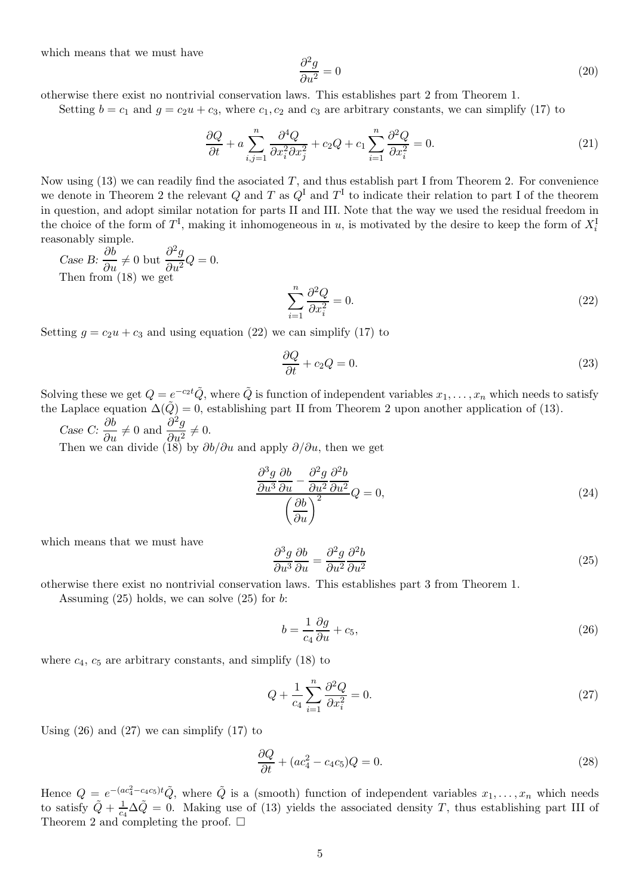which means that we must have

$$
\frac{\partial^2 g}{\partial u^2} = 0\tag{20}
$$

otherwise there exist no nontrivial conservation laws. This establishes part 2 from Theorem [1.](#page-1-3)

Setting  $b = c_1$  and  $g = c_2u + c_3$ , where  $c_1, c_2$  and  $c_3$  are arbitrary constants, we can simplify [\(17\)](#page-3-3) to

$$
\frac{\partial Q}{\partial t} + a \sum_{i,j=1}^{n} \frac{\partial^4 Q}{\partial x_i^2 \partial x_j^2} + c_2 Q + c_1 \sum_{i=1}^{n} \frac{\partial^2 Q}{\partial x_i^2} = 0.
$$
\n(21)

Now using  $(13)$  we can readily find the asociated T, and thus establish part I from Theorem [2.](#page-2-0) For convenience we denote in Theorem [2](#page-2-0) the relevant Q and T as  $Q^I$  and  $T^I$  to indicate their relation to part I of the theorem in question, and adopt similar notation for parts II and III. Note that the way we used the residual freedom in the choice of the form of  $T^{\text{I}}$ , making it inhomogeneous in u, is motivated by the desire to keep the form of  $X_i^{\text{I}}$ reasonably simple.

Case B:  $\frac{\partial b}{\partial u} \neq 0$  but  $\frac{\partial^2 g}{\partial u^2}$  $\frac{\partial^2 g}{\partial u^2} Q = 0.$ Then from [\(18\)](#page-3-4) we get

<span id="page-4-0"></span>
$$
\sum_{i=1}^{n} \frac{\partial^2 Q}{\partial x_i^2} = 0.
$$
\n(22)

Setting  $q = c_2u + c_3$  and using equation [\(22\)](#page-4-0) we can simplify [\(17\)](#page-3-3) to

$$
\frac{\partial Q}{\partial t} + c_2 Q = 0. \tag{23}
$$

Solving these we get  $Q = e^{-c_2 t} \tilde{Q}$ , where  $\tilde{Q}$  is function of independent variables  $x_1, \ldots, x_n$  which needs to satisfy the Laplace equation  $\Delta(\tilde{Q}) = 0$ , establishing part II from Theorem [2](#page-2-0) upon another application of [\(13\).](#page-3-5)

Case C:  $\frac{\partial b}{\partial u} \neq 0$  and  $\frac{\partial^2 g}{\partial u^2}$  $\frac{\partial^2 y}{\partial u^2} \neq 0.$ 

Then we can divide [\(18\)](#page-3-4) by  $\partial b/\partial u$  and apply  $\partial/\partial u$ , then we get

$$
\frac{\partial^3 g}{\partial u^3} \frac{\partial b}{\partial u} - \frac{\partial^2 g}{\partial u^2} \frac{\partial^2 b}{\partial u^2} Q = 0,
$$
\n
$$
\left(\frac{\partial b}{\partial u}\right)^2
$$
\n(24)

which means that we must have

<span id="page-4-1"></span>
$$
\frac{\partial^3 g}{\partial u^3} \frac{\partial b}{\partial u} = \frac{\partial^2 g}{\partial u^2} \frac{\partial^2 b}{\partial u^2} \tag{25}
$$

otherwise there exist no nontrivial conservation laws. This establishes part 3 from Theorem [1.](#page-1-3)

Assuming  $(25)$  holds, we can solve  $(25)$  for b:

<span id="page-4-2"></span>
$$
b = \frac{1}{c_4} \frac{\partial g}{\partial u} + c_5,\tag{26}
$$

where  $c_4$ ,  $c_5$  are arbitrary constants, and simplify [\(18\)](#page-3-4) to

<span id="page-4-3"></span>
$$
Q + \frac{1}{c_4} \sum_{i=1}^{n} \frac{\partial^2 Q}{\partial x_i^2} = 0.
$$
\n
$$
(27)
$$

Using  $(26)$  and  $(27)$  we can simplify  $(17)$  to

$$
\frac{\partial Q}{\partial t} + (ac_4^2 - c_4 c_5)Q = 0.
$$
\n(28)

Hence  $Q = e^{-(ac_4^2 - c_4 c_5)t}\tilde{Q}$ , where  $\tilde{Q}$  is a (smooth) function of independent variables  $x_1, \ldots, x_n$  which needs to satisfy  $\tilde{Q} + \frac{1}{c}$  $\frac{1}{c_4}\Delta\tilde{Q}=0$ . Making use of [\(13\)](#page-3-5) yields the associated density T, thus establishing part III of Theorem [2](#page-2-0) and completing the proof.  $\square$